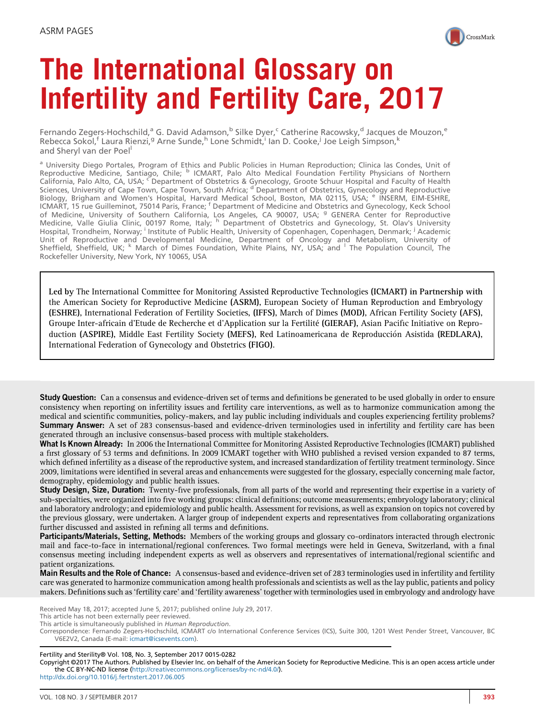

# The International Glossary on Infertility and Fertility Care, 2017

Fernando Zegers-Hochschild,<sup>a</sup> G. David Adamson,<sup>b</sup> Silke Dyer,<sup>c</sup> Catherine Racowsky,<sup>d</sup> Jacques de Mouzon,<sup>e</sup> Rebecca Sokol,<sup>f</sup> Laura Rienzi,<sup>g</sup> Arne Sunde,<sup>h</sup> Lone Schmidt, Ian D. Cooke, Joe Leigh Simpson,<sup>k</sup> and Sheryl van der Poel

<sup>a</sup> University Diego Portales, Program of Ethics and Public Policies in Human Reproduction; Clinica las Condes, Unit of Reproductive Medicine, Santiago, Chile; <sup>b</sup> ICMART, Palo Alto Medical Foundation Fertility Physicians of Northern California, Palo Alto, CA, USA; Cepartment of Obstetrics & Gynecology, Groote Schuur Hospital and Faculty of Health Sciences, University of Cape Town, Cape Town, South Africa; <sup>d'</sup>Department of Obstetrics, Gynecology and Reproductive Biology, Brigham and Women's Hospital, Harvard Medical School, Boston, MA 02115, USA; <sup>e</sup> INSERM, EIM-ESHRE, ICMART, 15 rue Guilleminot, 75014 Paris, France; <sup>f</sup> Department of Medicine and Obstetrics and Gynecology, Keck School of Medicine, University of Southern California, Los Angeles, CA 90007, USA; <sup>g</sup> GENERA Center for Reproductive Medicine, Valle Giulia Clinic, 00197 Rome, Italy; <sup>h</sup> Department of Obstetrics and Gynecology, St. Olav's University Hospital, Trondheim, Norway; <sup>i</sup> Institute of Public Health, University of Copenhagen, Copenhagen, Denmark; <sup>j</sup> Academic Unit of Reproductive and Developmental Medicine, Department of Oncology and Metabolism, University of Sheffield, Sheffield, UK; K March of Dimes Foundation, White Plains, NY, USA; and The Population Council, The Rockefeller University, New York, NY 10065, USA

Led by The International Committee for Monitoring Assisted Reproductive Technologies (ICMART) in Partnership with the American Society for Reproductive Medicine (ASRM), European Society of Human Reproduction and Embryology (ESHRE), International Federation of Fertility Societies, (IFFS), March of Dimes (MOD), African Fertility Society (AFS), Groupe Inter-africain d'Etude de Recherche et d'Application sur la Fertilite (GIERAF), Asian Pacific Initiative on Reproduction (ASPIRE), Middle East Fertility Society (MEFS), Red Latinoamericana de Reproduccion Asistida (REDLARA), International Federation of Gynecology and Obstetrics (FIGO).

Study Question: Can a consensus and evidence-driven set of terms and definitions be generated to be used globally in order to ensure consistency when reporting on infertility issues and fertility care interventions, as well as to harmonize communication among the medical and scientific communities, policy-makers, and lay public including individuals and couples experiencing fertility problems? **Summary Answer:** A set of 283 consensus-based and evidence-driven terminologies used in infertility and fertility care has been generated through an inclusive consensus-based process with multiple stakeholders.

What Is Known Already: In 2006 the International Committee for Monitoring Assisted Reproductive Technologies (ICMART) published a first glossary of 53 terms and definitions. In 2009 ICMART together with WHO published a revised version expanded to 87 terms, which defined infertility as a disease of the reproductive system, and increased standardization of fertility treatment terminology. Since 2009, limitations were identified in several areas and enhancements were suggested for the glossary, especially concerning male factor, demography, epidemiology and public health issues.

Study Design, Size, Duration: Twenty-five professionals, from all parts of the world and representing their expertise in a variety of sub-specialties, were organized into five working groups: clinical definitions; outcome measurements; embryology laboratory; clinical and laboratory andrology; and epidemiology and public health. Assessment for revisions, as well as expansion on topics not covered by the previous glossary, were undertaken. A larger group of independent experts and representatives from collaborating organizations further discussed and assisted in refining all terms and definitions.

Participants/Materials, Setting, Methods: Members of the working groups and glossary co-ordinators interacted through electronic mail and face-to-face in international/regional conferences. Two formal meetings were held in Geneva, Switzerland, with a final consensus meeting including independent experts as well as observers and representatives of international/regional scientific and patient organizations.

Main Results and the Role of Chance: A consensus-based and evidence-driven set of 283 terminologies used in infertility and fertility care was generated to harmonize communication among health professionals and scientists as well as the lay public, patients and policy makers. Definitions such as 'fertility care' and 'fertility awareness' together with terminologies used in embryology and andrology have

Fertility and Sterility® Vol. 108, No. 3, September 2017 0015-0282

Received May 18, 2017; accepted June 5, 2017; published online July 29, 2017.

This article has not been externally peer reviewed.

This article is simultaneously published in Human Reproduction.

Correspondence: Fernando Zegers-Hochschild, ICMART c/o International Conference Services (ICS), Suite 300, 1201 West Pender Street, Vancouver, BC V6E2V2, Canada (E-mail: [icmart@icsevents.com](mailto:icmart@icsevents.com)).

Copyright ©2017 The Authors. Published by Elsevier Inc. on behalf of the American Society for Reproductive Medicine. This is an open access article under the CC BY-NC-ND license [\(http://creativecommons.org/licenses/by-nc-nd/4.0/](http://creativecommons.org/licenses/by-nc-nd/4.0/)). <http://dx.doi.org/10.1016/j.fertnstert.2017.06.005>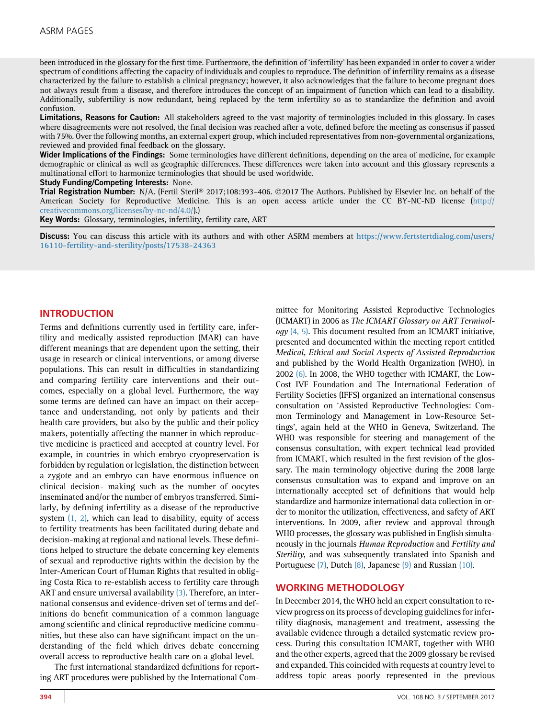been introduced in the glossary for the first time. Furthermore, the definition of 'infertility' has been expanded in order to cover a wider spectrum of conditions affecting the capacity of individuals and couples to reproduce. The definition of infertility remains as a disease characterized by the failure to establish a clinical pregnancy; however, it also acknowledges that the failure to become pregnant does not always result from a disease, and therefore introduces the concept of an impairment of function which can lead to a disability. Additionally, subfertility is now redundant, being replaced by the term infertility so as to standardize the definition and avoid confusion.

Limitations, Reasons for Caution: All stakeholders agreed to the vast majority of terminologies included in this glossary. In cases where disagreements were not resolved, the final decision was reached after a vote, defined before the meeting as consensus if passed with 75%. Over the following months, an external expert group, which included representatives from non-governmental organizations, reviewed and provided final feedback on the glossary.

Wider Implications of the Findings: Some terminologies have different definitions, depending on the area of medicine, for example demographic or clinical as well as geographic differences. These differences were taken into account and this glossary represents a multinational effort to harmonize terminologies that should be used worldwide.

Study Funding/Competing Interests: None.

Trial Registration Number: N/A. (Fertil Steril® 2017;108:393-406. ©2017 The Authors. Published by Elsevier Inc. on behalf of the American Society for Reproductive Medicine. This is an open access article under the CC BY-NC-ND license [\(http://](http://creativecommons.org/licenses/by-nc-nd/4.0/) [creativecommons.org/licenses/by-nc-nd/4.0/](http://creativecommons.org/licenses/by-nc-nd/4.0/)).)

Key Words: Glossary, terminologies, infertility, fertility care, ART

Discuss: You can discuss this article with its authors and with other ASRM members at [https://www.fertstertdialog.com/users/](https://www.fertstertdialog.com/users/16110-fertility-and-sterility/posts/17538-24363) [16110-fertility-and-sterility/posts/17538-24363](https://www.fertstertdialog.com/users/16110-fertility-and-sterility/posts/17538-24363)

## INTRODUCTION

Terms and definitions currently used in fertility care, infertility and medically assisted reproduction (MAR) can have different meanings that are dependent upon the setting, their usage in research or clinical interventions, or among diverse populations. This can result in difficulties in standardizing and comparing fertility care interventions and their outcomes, especially on a global level. Furthermore, the way some terms are defined can have an impact on their acceptance and understanding, not only by patients and their health care providers, but also by the public and their policy makers, potentially affecting the manner in which reproductive medicine is practiced and accepted at country level. For example, in countries in which embryo cryopreservation is forbidden by regulation or legislation, the distinction between a zygote and an embryo can have enormous influence on clinical decision- making such as the number of oocytes inseminated and/or the number of embryos transferred. Similarly, by defining infertility as a disease of the reproductive system [\(1, 2\)](#page-13-0), which can lead to disability, equity of access to fertility treatments has been facilitated during debate and decision-making at regional and national levels. These definitions helped to structure the debate concerning key elements of sexual and reproductive rights within the decision by the Inter-American Court of Human Rights that resulted in obliging Costa Rica to re-establish access to fertility care through ART and ensure universal availability [\(3\).](#page-13-0) Therefore, an international consensus and evidence-driven set of terms and definitions do benefit communication of a common language among scientific and clinical reproductive medicine communities, but these also can have significant impact on the understanding of the field which drives debate concerning overall access to reproductive health care on a global level.

The first international standardized definitions for reporting ART procedures were published by the International Committee for Monitoring Assisted Reproductive Technologies (ICMART) in 2006 as The ICMART Glossary on ART Terminol- $\log y$  [\(4, 5\).](#page-13-0) This document resulted from an ICMART initiative, presented and documented within the meeting report entitled Medical, Ethical and Social Aspects of Assisted Reproduction and published by the World Health Organization (WHO), in 2002 [\(6\).](#page-13-0) In 2008, the WHO together with ICMART, the Low-Cost IVF Foundation and The International Federation of Fertility Societies (IFFS) organized an international consensus consultation on 'Assisted Reproductive Technologies: Common Terminology and Management in Low-Resource Settings', again held at the WHO in Geneva, Switzerland. The WHO was responsible for steering and management of the consensus consultation, with expert technical lead provided from ICMART, which resulted in the first revision of the glossary. The main terminology objective during the 2008 large consensus consultation was to expand and improve on an internationally accepted set of definitions that would help standardize and harmonize international data collection in order to monitor the utilization, effectiveness, and safety of ART interventions. In 2009, after review and approval through WHO processes, the glossary was published in English simultaneously in the journals Human Reproduction and Fertility and Sterility, and was subsequently translated into Spanish and Portuguese [\(7\)](#page-13-0), Dutch [\(8\)](#page-13-0), Japanese [\(9\)](#page-13-0) and Russian [\(10\)](#page-13-0).

### WORKING METHODOLOGY

In December 2014, the WHO held an expert consultation to review progress on its process of developing guidelines for infertility diagnosis, management and treatment, assessing the available evidence through a detailed systematic review process. During this consultation ICMART, together with WHO and the other experts, agreed that the 2009 glossary be revised and expanded. This coincided with requests at country level to address topic areas poorly represented in the previous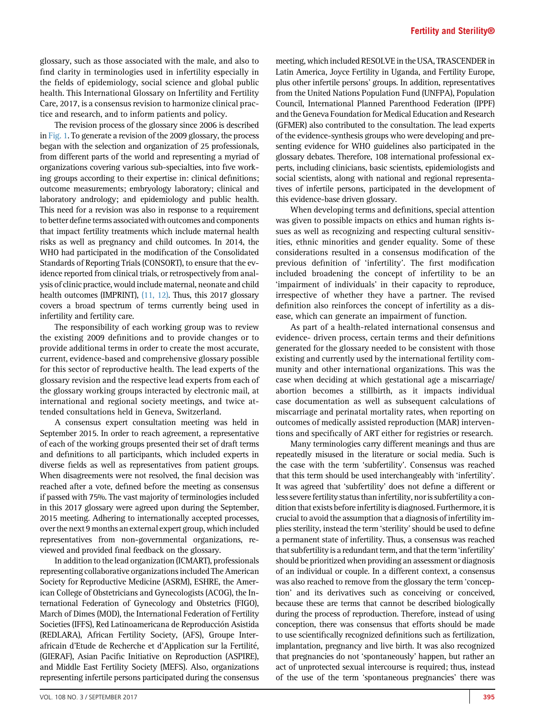glossary, such as those associated with the male, and also to find clarity in terminologies used in infertility especially in the fields of epidemiology, social science and global public health. This International Glossary on Infertility and Fertility Care, 2017, is a consensus revision to harmonize clinical practice and research, and to inform patients and policy.

The revision process of the glossary since 2006 is described in [Fig. 1.](#page-3-0) To generate a revision of the 2009 glossary, the process began with the selection and organization of 25 professionals, from different parts of the world and representing a myriad of organizations covering various sub-specialties, into five working groups according to their expertise in: clinical definitions; outcome measurements; embryology laboratory; clinical and laboratory andrology; and epidemiology and public health. This need for a revision was also in response to a requirement to better define terms associated with outcomes and components that impact fertility treatments which include maternal health risks as well as pregnancy and child outcomes. In 2014, the WHO had participated in the modification of the Consolidated Standards of Reporting Trials (CONSORT), to ensure that the evidence reported from clinical trials, or retrospectively from analysis of clinic practice, would include maternal, neonate and child health outcomes (IMPRINT), [\(11, 12\)](#page-13-0). Thus, this 2017 glossary covers a broad spectrum of terms currently being used in infertility and fertility care.

The responsibility of each working group was to review the existing 2009 definitions and to provide changes or to provide additional terms in order to create the most accurate, current, evidence-based and comprehensive glossary possible for this sector of reproductive health. The lead experts of the glossary revision and the respective lead experts from each of the glossary working groups interacted by electronic mail, at international and regional society meetings, and twice attended consultations held in Geneva, Switzerland.

A consensus expert consultation meeting was held in September 2015. In order to reach agreement, a representative of each of the working groups presented their set of draft terms and definitions to all participants, which included experts in diverse fields as well as representatives from patient groups. When disagreements were not resolved, the final decision was reached after a vote, defined before the meeting as consensus if passed with 75%. The vast majority of terminologies included in this 2017 glossary were agreed upon during the September, 2015 meeting. Adhering to internationally accepted processes, over the next 9 months an external expert group, which included representatives from non-governmental organizations, reviewed and provided final feedback on the glossary.

In addition to the lead organization (ICMART), professionals representing collaborative organizations included The American Society for Reproductive Medicine (ASRM), ESHRE, the American College of Obstetricians and Gynecologists (ACOG), the International Federation of Gynecology and Obstetrics (FIGO), March of Dimes (MOD), the International Federation of Fertility Societies (IFFS), Red Latinoamericana de Reproducción Asistida (REDLARA), African Fertility Society, (AFS), Groupe Interafricain d'Etude de Recherche et d'Application sur la Fertilite, (GIERAF), Asian Pacific Initiative on Reproduction (ASPIRE), and Middle East Fertility Society (MEFS). Also, organizations representing infertile persons participated during the consensus

VOL. 108 NO. 3 / SEPTEMBER 2017 **395 396** 

meeting, which included RESOLVE in the USA, TRASCENDER in Latin America, Joyce Fertility in Uganda, and Fertility Europe, plus other infertile persons' groups. In addition, representatives from the United Nations Population Fund (UNFPA), Population Council, International Planned Parenthood Federation (IPPF) and the Geneva Foundation for Medical Education and Research (GFMER) also contributed to the consultation. The lead experts of the evidence-synthesis groups who were developing and presenting evidence for WHO guidelines also participated in the glossary debates. Therefore, 108 international professional experts, including clinicians, basic scientists, epidemiologists and social scientists, along with national and regional representatives of infertile persons, participated in the development of this evidence-base driven glossary.

When developing terms and definitions, special attention was given to possible impacts on ethics and human rights issues as well as recognizing and respecting cultural sensitivities, ethnic minorities and gender equality. Some of these considerations resulted in a consensus modification of the previous definition of 'infertility'. The first modification included broadening the concept of infertility to be an 'impairment of individuals' in their capacity to reproduce, irrespective of whether they have a partner. The revised definition also reinforces the concept of infertility as a disease, which can generate an impairment of function.

As part of a health-related international consensus and evidence- driven process, certain terms and their definitions generated for the glossary needed to be consistent with those existing and currently used by the international fertility community and other international organizations. This was the case when deciding at which gestational age a miscarriage/ abortion becomes a stillbirth, as it impacts individual case documentation as well as subsequent calculations of miscarriage and perinatal mortality rates, when reporting on outcomes of medically assisted reproduction (MAR) interventions and specifically of ART either for registries or research.

Many terminologies carry different meanings and thus are repeatedly misused in the literature or social media. Such is the case with the term 'subfertility'. Consensus was reached that this term should be used interchangeably with 'infertility'. It was agreed that 'subfertility' does not define a different or less severe fertility status than infertility, nor is subfertility a condition that exists before infertility is diagnosed. Furthermore, it is crucial to avoid the assumption that a diagnosis of infertility implies sterility, instead the term 'sterility'should be used to define a permanent state of infertility. Thus, a consensus was reached that subfertility is a redundant term, and that the term'infertility' should be prioritized when providing an assessment or diagnosis of an individual or couple. In a different context, a consensus was also reached to remove from the glossary the term 'conception' and its derivatives such as conceiving or conceived, because these are terms that cannot be described biologically during the process of reproduction. Therefore, instead of using conception, there was consensus that efforts should be made to use scientifically recognized definitions such as fertilization, implantation, pregnancy and live birth. It was also recognized that pregnancies do not 'spontaneously' happen, but rather an act of unprotected sexual intercourse is required; thus, instead of the use of the term 'spontaneous pregnancies' there was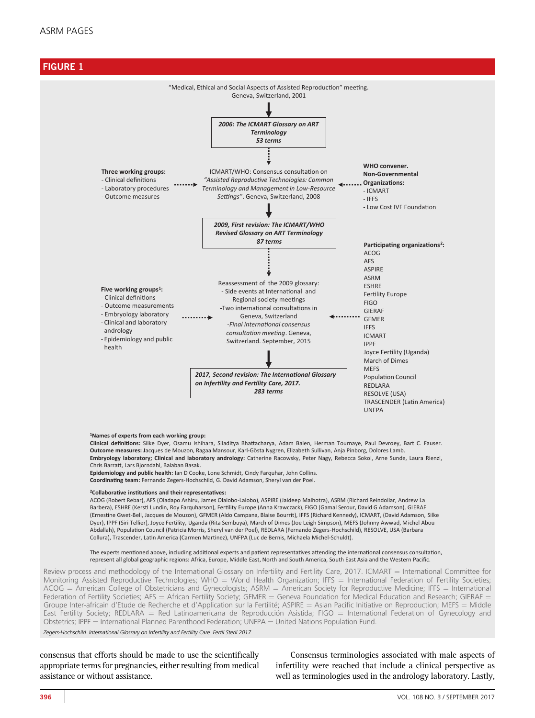<span id="page-3-0"></span>



Review process and methodology of the International Glossary on Infertility and Fertility Care, 2017. ICMART = International Committee for Monitoring Assisted Reproductive Technologies; WHO = World Health Organization; IFFS = International Federation of Fertility Societies;  $ACOG =$  American College of Obstetricians and Gynecologists; ASRM = American Society for Reproductive Medicine; IFFS = International Federation of Fertility Societies; AFS = African Fertility Society; GFMER = Geneva Foundation for Medical Education and Research; GIERAF = Groupe Inter-africain d'Etude de Recherche et d'Application sur la Fertilité; ASPIRE = Asian Pacific Initiative on Reproduction; MEFS = Middle East Fertility Society; REDLARA = Red Latinoamericana de Reproducción Asistida; FIGO = International Federation of Gynecology and Obstetrics; IPPF = International Planned Parenthood Federation; UNFPA = United Nations Population Fund.

Zegers-Hochschild. International Glossary on Infertility and Fertility Care. Fertil Steril 2017.

consensus that efforts should be made to use the scientifically appropriate terms for pregnancies, either resulting from medical assistance or without assistance.

Consensus terminologies associated with male aspects of infertility were reached that include a clinical perspective as well as terminologies used in the andrology laboratory. Lastly,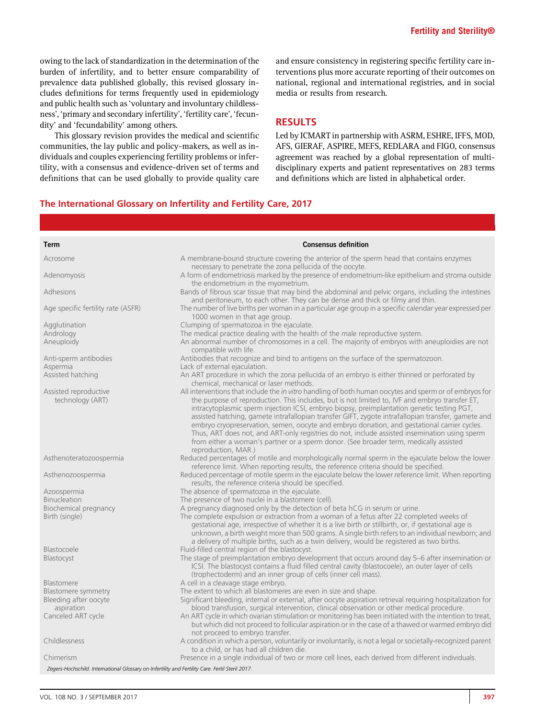owing to the lack of standardization in the determination of the burden of infertility, and to better ensure comparability of prevalence data published globally, this revised glossary includes definitions for terms frequently used in epidemiology and public health such as'voluntary and involuntary childlessness', 'primary and secondary infertility', 'fertility care', 'fecundity' and 'fecundability' among others.

This glossary revision provides the medical and scientific communities, the lay public and policy-makers, as well as individuals and couples experiencing fertility problems or infertility, with a consensus and evidence-driven set of terms and definitions that can be used globally to provide quality care and ensure consistency in registering specific fertility care interventions plus more accurate reporting of their outcomes on national, regional and international registries, and in social media or results from research.

# RESULTS

Led by ICMART in partnership with ASRM, ESHRE, IFFS, MOD, AFS, GIERAF, ASPIRE, MEFS, REDLARA and FIGO, consensus agreement was reached by a global representation of multidisciplinary experts and patient representatives on 283 terms and definitions which are listed in alphabetical order.

## The International Glossary on Infertility and Fertility Care, 2017

| <b>Term</b>                                                                                      | <b>Consensus definition</b>                                                                                                                                                                                                                                                                                                                                                                                                                                                                                                                                                                                                                                                                                                  |
|--------------------------------------------------------------------------------------------------|------------------------------------------------------------------------------------------------------------------------------------------------------------------------------------------------------------------------------------------------------------------------------------------------------------------------------------------------------------------------------------------------------------------------------------------------------------------------------------------------------------------------------------------------------------------------------------------------------------------------------------------------------------------------------------------------------------------------------|
| Acrosome                                                                                         | A membrane-bound structure covering the anterior of the sperm head that contains enzymes<br>necessary to penetrate the zona pellucida of the oocyte.                                                                                                                                                                                                                                                                                                                                                                                                                                                                                                                                                                         |
| Adenomyosis                                                                                      | A form of endometriosis marked by the presence of endometrium-like epithelium and stroma outside<br>the endometrium in the myometrium.                                                                                                                                                                                                                                                                                                                                                                                                                                                                                                                                                                                       |
| Adhesions                                                                                        | Bands of fibrous scar tissue that may bind the abdominal and pelvic organs, including the intestines<br>and peritoneum, to each other. They can be dense and thick or filmy and thin.                                                                                                                                                                                                                                                                                                                                                                                                                                                                                                                                        |
| Age specific fertility rate (ASFR)                                                               | The number of live births per woman in a particular age group in a specific calendar year expressed per<br>1000 women in that age group.                                                                                                                                                                                                                                                                                                                                                                                                                                                                                                                                                                                     |
| Agglutination                                                                                    | Clumping of spermatozoa in the ejaculate.                                                                                                                                                                                                                                                                                                                                                                                                                                                                                                                                                                                                                                                                                    |
| Andrology                                                                                        | The medical practice dealing with the health of the male reproductive system.                                                                                                                                                                                                                                                                                                                                                                                                                                                                                                                                                                                                                                                |
| Aneuploidy                                                                                       | An abnormal number of chromosomes in a cell. The majority of embryos with aneuploidies are not<br>compatible with life.                                                                                                                                                                                                                                                                                                                                                                                                                                                                                                                                                                                                      |
| Anti-sperm antibodies                                                                            | Antibodies that recognize and bind to antigens on the surface of the spermatozoon.                                                                                                                                                                                                                                                                                                                                                                                                                                                                                                                                                                                                                                           |
| Aspermia                                                                                         | Lack of external ejaculation.                                                                                                                                                                                                                                                                                                                                                                                                                                                                                                                                                                                                                                                                                                |
| Assisted hatching                                                                                | An ART procedure in which the zona pellucida of an embryo is either thinned or perforated by<br>chemical, mechanical or laser methods.                                                                                                                                                                                                                                                                                                                                                                                                                                                                                                                                                                                       |
| Assisted reproductive<br>technology (ART)                                                        | All interventions that include the in vitro handling of both human oocytes and sperm or of embryos for<br>the purpose of reproduction. This includes, but is not limited to, IVF and embryo transfer ET,<br>intracytoplasmic sperm injection ICSI, embryo biopsy, preimplantation genetic testing PGT,<br>assisted hatching, gamete intrafallopian transfer GIFT, zygote intrafallopian transfer, gamete and<br>embryo cryopreservation, semen, oocyte and embryo donation, and gestational carrier cycles.<br>Thus, ART does not, and ART-only registries do not, include assisted insemination using sperm<br>from either a woman's partner or a sperm donor. (See broader term, medically assisted<br>reproduction, MAR.) |
| Asthenoteratozoospermia                                                                          | Reduced percentages of motile and morphologically normal sperm in the ejaculate below the lower<br>reference limit. When reporting results, the reference criteria should be specified.                                                                                                                                                                                                                                                                                                                                                                                                                                                                                                                                      |
| Asthenozoospermia                                                                                | Reduced percentage of motile sperm in the ejaculate below the lower reference limit. When reporting<br>results, the reference criteria should be specified.                                                                                                                                                                                                                                                                                                                                                                                                                                                                                                                                                                  |
| Azoospermia                                                                                      | The absence of spermatozoa in the ejaculate.                                                                                                                                                                                                                                                                                                                                                                                                                                                                                                                                                                                                                                                                                 |
| <b>Binucleation</b>                                                                              | The presence of two nuclei in a blastomere (cell).                                                                                                                                                                                                                                                                                                                                                                                                                                                                                                                                                                                                                                                                           |
| Biochemical pregnancy                                                                            | A pregnancy diagnosed only by the detection of beta hCG in serum or urine.                                                                                                                                                                                                                                                                                                                                                                                                                                                                                                                                                                                                                                                   |
| Birth (single)                                                                                   | The complete expulsion or extraction from a woman of a fetus after 22 completed weeks of<br>gestational age, irrespective of whether it is a live birth or stillbirth, or, if gestational age is<br>unknown, a birth weight more than 500 grams. A single birth refers to an individual newborn; and<br>a delivery of multiple births, such as a twin delivery, would be registered as two births.                                                                                                                                                                                                                                                                                                                           |
| Blastocoele                                                                                      | Fluid-filled central region of the blastocyst.                                                                                                                                                                                                                                                                                                                                                                                                                                                                                                                                                                                                                                                                               |
| Blastocyst                                                                                       | The stage of preimplantation embryo development that occurs around day 5-6 after insemination or<br>ICSI. The blastocyst contains a fluid filled central cavity (blastocoele), an outer layer of cells<br>(trophectoderm) and an inner group of cells (inner cell mass).                                                                                                                                                                                                                                                                                                                                                                                                                                                     |
| <b>Blastomere</b>                                                                                | A cell in a cleavage stage embryo.                                                                                                                                                                                                                                                                                                                                                                                                                                                                                                                                                                                                                                                                                           |
| Blastomere symmetry                                                                              | The extent to which all blastomeres are even in size and shape.                                                                                                                                                                                                                                                                                                                                                                                                                                                                                                                                                                                                                                                              |
| Bleeding after oocyte<br>aspiration                                                              | Significant bleeding, internal or external, after oocyte aspiration retrieval requiring hospitalization for<br>blood transfusion, surgical intervention, clinical observation or other medical procedure.                                                                                                                                                                                                                                                                                                                                                                                                                                                                                                                    |
| Canceled ART cycle                                                                               | An ART cycle in which ovarian stimulation or monitoring has been initiated with the intention to treat,<br>but which did not proceed to follicular aspiration or in the case of a thawed or warmed embryo did<br>not proceed to embryo transfer.                                                                                                                                                                                                                                                                                                                                                                                                                                                                             |
| Childlessness                                                                                    | A condition in which a person, voluntarily or involuntarily, is not a legal or societally-recognized parent<br>to a child, or has had all children die.                                                                                                                                                                                                                                                                                                                                                                                                                                                                                                                                                                      |
| Chimerism                                                                                        | Presence in a single individual of two or more cell lines, each derived from different individuals.                                                                                                                                                                                                                                                                                                                                                                                                                                                                                                                                                                                                                          |
| Zegers-Hochschild. International Glossary on Infertility and Fertility Care. Fertil Steril 2017. |                                                                                                                                                                                                                                                                                                                                                                                                                                                                                                                                                                                                                                                                                                                              |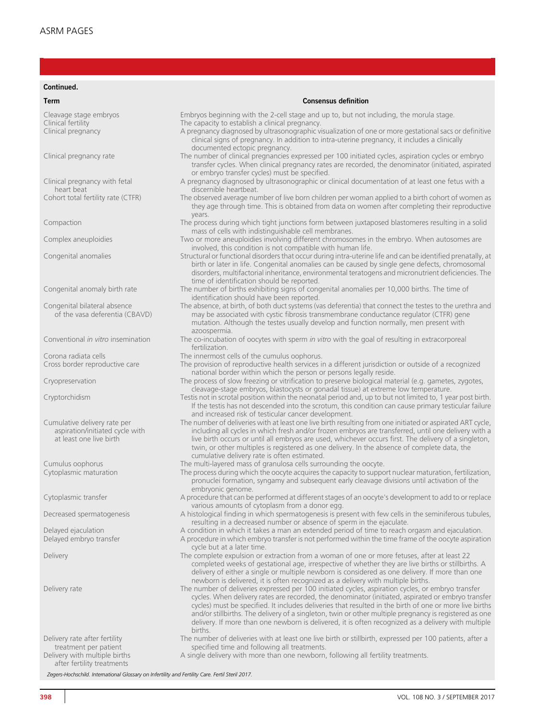Clinical pregnancy with fetal heart beat<br>Cohort total fertility rate (CTFR)

Congenital bilateral absence of the vasa deferentia (CBAVD)

Cumulative delivery rate per aspiration/initiated cycle with at least one live birth

Delivery rate after fertility treatment per patient Delivery with multiple births after fertility treatments

Term Consensus definition Cleavage stage embryos Embryos beginning with the 2-cell stage and up to, but not including, the morula stage. Clinical fertility The capacity to establish a clinical pregnancy. Clinical pregnancy A pregnancy diagnosed by ultrasonographic visualization of one or more gestational sacs or definitive clinical signs of pregnancy. In addition to intra-uterine pregnancy, it includes a clinically documented ectopic pregnancy. Clinical pregnancy rate The number of clinical pregnancies expressed per 100 initiated cycles, aspiration cycles or embryo transfer cycles. When clinical pregnancy rates are recorded, the denominator (initiated, aspirated or embryo transfer cycles) must be specified. A pregnancy diagnosed by ultrasonographic or clinical documentation of at least one fetus with a discernible heartbeat. The observed average number of live born children per woman applied to a birth cohort of women as they age through time. This is obtained from data on women after completing their reproductive years. Compaction The process during which tight junctions form between juxtaposed blastomeres resulting in a solid mass of cells with indistinguishable cell membranes. Complex aneuploidies Two or more aneuploidies involving different chromosomes in the embryo. When autosomes are involved, this condition is not compatible with human life. Congenital anomalies Structural or functional disorders that occur during intra-uterine life and can be identified prenatally, at birth or later in life. Congenital anomalies can be caused by single gene defects, chromosomal disorders, multifactorial inheritance, environmental teratogens and micronutrient deficiencies. The time of identification should be reported. Congenital anomaly birth rate The number of births exhibiting signs of congenital anomalies per 10,000 births. The time of identification should have been reported. The absence, at birth, of both duct systems (vas deferentia) that connect the testes to the urethra and may be associated with cystic fibrosis transmembrane conductance regulator (CTFR) gene mutation. Although the testes usually develop and function normally, men present with azoospermia. Conventional in vitro insemination The co-incubation of oocytes with sperm in vitro with the goal of resulting in extracorporeal fertilization. Corona radiata cells<br>Cross border reproductive care The provision of reproductive health services in The provision of reproductive health services in a different jurisdiction or outside of a recognized national border within which the person or persons legally reside. Cryopreservation The process of slow freezing or vitrification to preserve biological material (e.g. gametes, zygotes, cleavage-stage embryos, blastocysts or gonadal tissue) at extreme low temperature. Cryptorchidism Testis not in scrotal position within the neonatal period and, up to but not limited to, 1 year post birth. If the testis has not descended into the scrotum, this condition can cause primary testicular failure and increased risk of testicular cancer development. The number of deliveries with at least one live birth resulting from one initiated or aspirated ART cycle, including all cycles in which fresh and/or frozen embryos are transferred, until one delivery with a live birth occurs or until all embryos are used, whichever occurs first. The delivery of a singleton, twin, or other multiples is registered as one delivery. In the absence of complete data, the cumulative delivery rate is often estimated. Cumulus oophorus The multi-layered mass of granulosa cells surrounding the oocyte.<br>Cytoplasmic maturation The process during which the oocyte acquires the capacity to suppo The process during which the oocyte acquires the capacity to support nuclear maturation, fertilization, pronuclei formation, syngamy and subsequent early cleavage divisions until activation of the embryonic genome. Cytoplasmic transfer A procedure that can be performed at different stages of an oocyte's development to add to or replace various amounts of cytoplasm from a donor egg. Decreased spermatogenesis A histological finding in which spermatogenesis is present with few cells in the seminiferous tubules, resulting in a decreased number or absence of sperm in the ejaculate. Delayed ejaculation M Condition in which it takes a man an extended period of time to reach orgasm and ejaculation.<br>Delayed embryo transfer M A procedure in which embryo transfer is not performed within the time frame of t A procedure in which embryo transfer is not performed within the time frame of the oocyte aspiration cycle but at a later time. Delivery The complete expulsion or extraction from a woman of one or more fetuses, after at least 22 completed weeks of gestational age, irrespective of whether they are live births or stillbirths. A delivery of either a single or multiple newborn is considered as one delivery. If more than one newborn is delivered, it is often recognized as a delivery with multiple births. Delivery rate The number of deliveries expressed per 100 initiated cycles, aspiration cycles, or embryo transfer cycles. When delivery rates are recorded, the denominator (initiated, aspirated or embryo transfer cycles) must be specified. It includes deliveries that resulted in the birth of one or more live births and/or stillbirths. The delivery of a singleton, twin or other multiple pregnancy is registered as one delivery. If more than one newborn is delivered, it is often recognized as a delivery with multiple births. The number of deliveries with at least one live birth or stillbirth, expressed per 100 patients, after a specified time and following all treatments. A single delivery with more than one newborn, following all fertility treatments.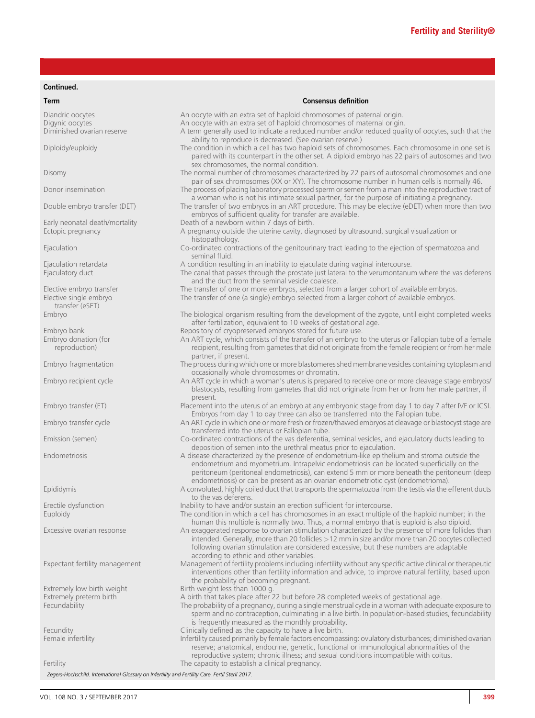Elective single embryo transfer (eSET)

Embryo donation (for reproduction)

Fertility The capacity to establish a clinical pregnancy.

Term Consensus definition Diandric oocytes **An oocyte with an extra set of haploid chromosomes of paternal origin.** Digynic oocytes **An oocyte with an extra set of haploid chromosomes of maternal origin.** Diminished ovarian reserve A term generally used to indicate a reduced number and/or reduced quality of oocytes, such that the ability to reproduce is decreased. (See ovarian reserve.) Diploidy/euploidy The condition in which a cell has two haploid sets of chromosomes. Each chromosome in one set is paired with its counterpart in the other set. A diploid embryo has 22 pairs of autosomes and two sex chromosomes, the normal condition. Disomy The normal number of chromosomes characterized by 22 pairs of autosomal chromosomes and one pair of sex chromosomes (XX or XY). The chromosome number in human cells is normally 46. Donor insemination The process of placing laboratory processed sperm or semen from a man into the reproductive tract of a woman who is not his intimate sexual partner, for the purpose of initiating a pregnancy. Double embryo transfer (DET) The transfer of two embryos in an ART procedure. This may be elective (eDET) when more than two embryos of sufficient quality for transfer are available. Early neonatal death/mortality Death of a newborn within 7 days of birth. Ectopic pregnancy **A** pregnancy outside the uterine cavity, diagnosed by ultrasound, surgical visualization or histopathology. Ejaculation Co-ordinated contractions of the genitourinary tract leading to the ejection of spermatozoa and seminal fluid. Ejaculation retardata **A** condition resulting in an inability to ejaculate during vaginal intercourse.<br>Ejaculatory duct **A condition of the canal that passes through the prostate just lateral to the verumontanu** The canal that passes through the prostate just lateral to the verumontanum where the vas deferens and the duct from the seminal vesicle coalesce. Elective embryo transfer The transfer of one or more embryos, selected from a larger cohort of available embryos. The transfer of one (a single) embryo selected from a larger cohort of available embryos. Embryo The biological organism resulting from the development of the zygote, until eight completed weeks after fertilization, equivalent to 10 weeks of gestational age. Embryo bank **Repository of cryopreserved embryos stored for future use.** An ART cycle, which consists of the transfer of an embryo to the uterus or Fallopian tube of a female recipient, resulting from gametes that did not originate from the female recipient or from her male partner, if present. Embryo fragmentation The process during which one or more blastomeres shed membrane vesicles containing cytoplasm and occasionally whole chromosomes or chromatin. Embryo recipient cycle **An ART cycle in which a woman's uterus is prepared to receive one or more cleavage stage embryos/** blastocysts, resulting from gametes that did not originate from her or from her male partner, if present. Embryo transfer (ET) Placement into the uterus of an embryo at any embryonic stage from day 1 to day 7 after IVF or ICSI. Embryos from day 1 to day three can also be transferred into the Fallopian tube. Embryo transfer cycle An ART cycle in which one or more fresh or frozen/thawed embryos at cleavage or blastocyst stage are transferred into the uterus or Fallopian tube. Emission (semen) Co-ordinated contractions of the vas deferentia, seminal vesicles, and ejaculatory ducts leading to deposition of semen into the urethral meatus prior to ejaculation. Endometriosis **A** disease characterized by the presence of endometrium-like epithelium and stroma outside the endometrium and myometrium. Intrapelvic endometriosis can be located superficially on the peritoneum (peritoneal endometriosis), can extend 5 mm or more beneath the peritoneum (deep endometriosis) or can be present as an ovarian endometriotic cyst (endometrioma). Epididymis A convoluted, highly coiled duct that transports the spermatozoa from the testis via the efferent ducts to the vas deferens. Erectile dysfunction **Inability to have and/or sustain an erection sufficient for intercourse.** Euploidy The condition in which a cell has chromosomes in an exact multiple of the haploid number; in the human this multiple is normally two. Thus, a normal embryo that is euploid is also diploid. Excessive ovarian response An exaggerated response to ovarian stimulation characterized by the presence of more follicles than intended. Generally, more than 20 follicles >12 mm in size and/or more than 20 oocytes collected following ovarian stimulation are considered excessive, but these numbers are adaptable according to ethnic and other variables. Expectant fertility management Management of fertility problems including infertility without any specific active clinical or therapeutic interventions other than fertility information and advice, to improve natural fertility, based upon the probability of becoming pregnant. Extremely low birth weight **Birth weight less than 1000 g.**<br>Extremely preterm birth **Birth Weight A** birth that takes place after 2 Extremely preterm birth A birth that takes place after 22 but before 28 completed weeks of gestational age.<br>Fecundability of a pregnancy, during a single menstrual cycle in a woman with adequ The probability of a pregnancy, during a single menstrual cycle in a woman with adequate exposure to sperm and no contraception, culminating in a live birth. In population-based studies, fecundability is frequently measured as the monthly probability. Fecundity<br>Female infertility Caused primarily by female factors encompased by female factors encompased by female factors encompased by female factors encompased by female factors encompased by female factors encompased by Infertility caused primarily by female factors encompassing: ovulatory disturbances; diminished ovarian reserve; anatomical, endocrine, genetic, functional or immunological abnormalities of the

reproductive system; chronic illness; and sexual conditions incompatible with coitus.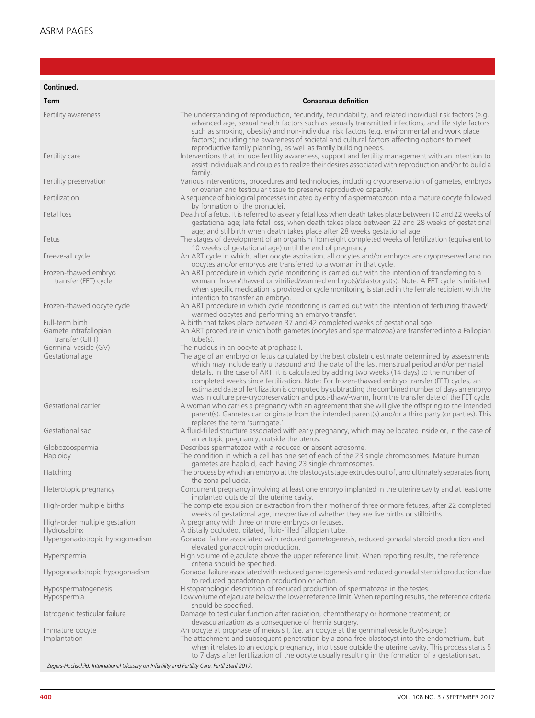| Continued.                                                                      |                                                                                                                                                                                                                                                                                                                                                                                                                                                                                                                                                                                                                                                         |
|---------------------------------------------------------------------------------|---------------------------------------------------------------------------------------------------------------------------------------------------------------------------------------------------------------------------------------------------------------------------------------------------------------------------------------------------------------------------------------------------------------------------------------------------------------------------------------------------------------------------------------------------------------------------------------------------------------------------------------------------------|
| <b>Term</b>                                                                     | <b>Consensus definition</b>                                                                                                                                                                                                                                                                                                                                                                                                                                                                                                                                                                                                                             |
| Fertility awareness                                                             | The understanding of reproduction, fecundity, fecundability, and related individual risk factors (e.g.<br>advanced age, sexual health factors such as sexually transmitted infections, and life style factors<br>such as smoking, obesity) and non-individual risk factors (e.g. environmental and work place<br>factors); including the awareness of societal and cultural factors affecting options to meet<br>reproductive family planning, as well as family building needs.                                                                                                                                                                        |
| Fertility care                                                                  | Interventions that include fertility awareness, support and fertility management with an intention to<br>assist individuals and couples to realize their desires associated with reproduction and/or to build a<br>family.                                                                                                                                                                                                                                                                                                                                                                                                                              |
| Fertility preservation                                                          | Various interventions, procedures and technologies, including cryopreservation of gametes, embryos<br>or ovarian and testicular tissue to preserve reproductive capacity.                                                                                                                                                                                                                                                                                                                                                                                                                                                                               |
| Fertilization                                                                   | A sequence of biological processes initiated by entry of a spermatozoon into a mature oocyte followed<br>by formation of the pronuclei.                                                                                                                                                                                                                                                                                                                                                                                                                                                                                                                 |
| Fetal loss                                                                      | Death of a fetus. It is referred to as early fetal loss when death takes place between 10 and 22 weeks of<br>gestational age; late fetal loss, when death takes place between 22 and 28 weeks of gestational<br>age; and stillbirth when death takes place after 28 weeks gestational age.                                                                                                                                                                                                                                                                                                                                                              |
| Fetus                                                                           | The stages of development of an organism from eight completed weeks of fertilization (equivalent to<br>10 weeks of gestational age) until the end of pregnancy                                                                                                                                                                                                                                                                                                                                                                                                                                                                                          |
| Freeze-all cycle                                                                | An ART cycle in which, after oocyte aspiration, all oocytes and/or embryos are cryopreserved and no<br>oocytes and/or embryos are transferred to a woman in that cycle.                                                                                                                                                                                                                                                                                                                                                                                                                                                                                 |
| Frozen-thawed embryo<br>transfer (FET) cycle                                    | An ART procedure in which cycle monitoring is carried out with the intention of transferring to a<br>woman, frozen/thawed or vitrified/warmed embryo(s)/blastocyst(s). Note: A FET cycle is initiated<br>when specific medication is provided or cycle monitoring is started in the female recipient with the<br>intention to transfer an embryo.                                                                                                                                                                                                                                                                                                       |
| Frozen-thawed oocyte cycle                                                      | An ART procedure in which cycle monitoring is carried out with the intention of fertilizing thawed/<br>warmed oocytes and performing an embryo transfer.                                                                                                                                                                                                                                                                                                                                                                                                                                                                                                |
| Full-term birth<br>Gamete intrafallopian<br>transfer (GIFT)                     | A birth that takes place between 37 and 42 completed weeks of gestational age.<br>An ART procedure in which both gametes (oocytes and spermatozoa) are transferred into a Fallopian<br>tube(s).                                                                                                                                                                                                                                                                                                                                                                                                                                                         |
| Germinal vesicle (GV)<br>Gestational age                                        | The nucleus in an oocyte at prophase I.<br>The age of an embryo or fetus calculated by the best obstetric estimate determined by assessments<br>which may include early ultrasound and the date of the last menstrual period and/or perinatal<br>details. In the case of ART, it is calculated by adding two weeks (14 days) to the number of<br>completed weeks since fertilization. Note: For frozen-thawed embryo transfer (FET) cycles, an<br>estimated date of fertilization is computed by subtracting the combined number of days an embryo<br>was in culture pre-cryopreservation and post-thaw/-warm, from the transfer date of the FET cycle. |
| Gestational carrier                                                             | A woman who carries a pregnancy with an agreement that she will give the offspring to the intended<br>parent(s). Gametes can originate from the intended parent(s) and/or a third party (or parties). This<br>replaces the term 'surrogate.'                                                                                                                                                                                                                                                                                                                                                                                                            |
| Gestational sac                                                                 | A fluid-filled structure associated with early pregnancy, which may be located inside or, in the case of<br>an ectopic pregnancy, outside the uterus.                                                                                                                                                                                                                                                                                                                                                                                                                                                                                                   |
| Globozoospermia<br>Haploidy                                                     | Describes spermatozoa with a reduced or absent acrosome.<br>The condition in which a cell has one set of each of the 23 single chromosomes. Mature human<br>gametes are haploid, each having 23 single chromosomes.                                                                                                                                                                                                                                                                                                                                                                                                                                     |
| Hatching                                                                        | The process by which an embryo at the blastocyst stage extrudes out of, and ultimately separates from,<br>the zona pellucida.                                                                                                                                                                                                                                                                                                                                                                                                                                                                                                                           |
| Heterotopic pregnancy                                                           | Concurrent pregnancy involving at least one embryo implanted in the uterine cavity and at least one<br>implanted outside of the uterine cavity.                                                                                                                                                                                                                                                                                                                                                                                                                                                                                                         |
| High-order multiple births                                                      | The complete expulsion or extraction from their mother of three or more fetuses, after 22 completed<br>weeks of gestational age, irrespective of whether they are live births or stillbirths.                                                                                                                                                                                                                                                                                                                                                                                                                                                           |
| High-order multiple gestation<br>Hydrosalpinx<br>Hypergonadotropic hypogonadism | A pregnancy with three or more embryos or fetuses.<br>A distally occluded, dilated, fluid-filled Fallopian tube.<br>Gonadal failure associated with reduced gametogenesis, reduced gonadal steroid production and                                                                                                                                                                                                                                                                                                                                                                                                                                       |
| Hyperspermia                                                                    | elevated gonadotropin production.<br>High volume of ejaculate above the upper reference limit. When reporting results, the reference                                                                                                                                                                                                                                                                                                                                                                                                                                                                                                                    |
| Hypogonadotropic hypogonadism                                                   | criteria should be specified.<br>Gonadal failure associated with reduced gametogenesis and reduced gonadal steroid production due                                                                                                                                                                                                                                                                                                                                                                                                                                                                                                                       |
| <b>Hypospermatogenesis</b><br><b>Hypospermia</b>                                | to reduced gonadotropin production or action.<br>Histopathologic description of reduced production of spermatozoa in the testes.<br>Low volume of ejaculate below the lower reference limit. When reporting results, the reference criteria<br>should be specified.                                                                                                                                                                                                                                                                                                                                                                                     |
| latrogenic testicular failure                                                   | Damage to testicular function after radiation, chemotherapy or hormone treatment; or<br>devascularization as a consequence of hernia surgery.                                                                                                                                                                                                                                                                                                                                                                                                                                                                                                           |
| Immature oocyte<br>Implantation                                                 | An oocyte at prophase of meiosis I, (i.e. an oocyte at the germinal vesicle (GV)-stage.)<br>The attachment and subsequent penetration by a zona-free blastocyst into the endometrium, but<br>when it relates to an ectopic pregnancy, into tissue outside the uterine cavity. This process starts 5<br>to 7 days after fertilization of the oocyte usually resulting in the formation of a gestation sac.                                                                                                                                                                                                                                               |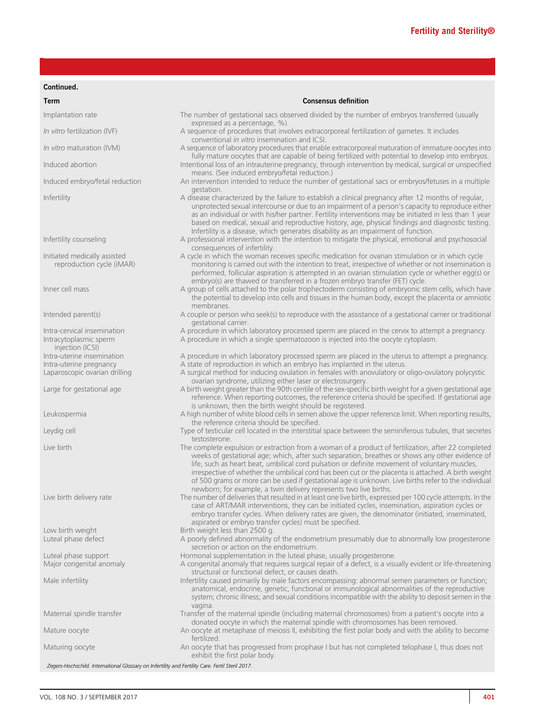Implantation rate

Maturing oocyte An oocyte that has progressed from prophase I but has not completed telophase I, thus does not

Zegers-Hochschild. International Glossary on Infertility and Fertility Care. Fertil Steril 2017.

exhibit the first polar body.

#### Term Consensus definition

| in ipianaanon ratu               | THE Hamber of gestational sacs observed divided by the hamber of chibityos transicirca (asually                               |
|----------------------------------|-------------------------------------------------------------------------------------------------------------------------------|
| In vitro fertilization (IVF)     | expressed as a percentage, %).<br>A sequence of procedures that involves extracorporeal fertilization of gametes. It includes |
|                                  | conventional in vitro insemination and ICSI.                                                                                  |
|                                  |                                                                                                                               |
| <i>In vitro</i> maturation (IVM) | A sequence of laboratory procedures that enable extracorporeal maturation of immature oocytes into                            |
|                                  | fully mature oocytes that are capable of being fertilized with potential to develop into embryos.                             |
| Induced abortion                 | Intentional loss of an intrauterine pregnancy, through intervention by medical, surgical or unspecified                       |
|                                  | means. (See induced embryo/fetal reduction.)                                                                                  |
| Induced embryo/fetal reduction   | An intervention intended to reduce the number of gestational sacs or embryos/fetuses in a multiple                            |
|                                  | gestation.                                                                                                                    |
| <b>Infertility</b>               | A disease characterized by the failure to establish a clinical pregnancy after 12 months of regular,                          |
|                                  | unprotected sexual intercourse or due to an impairment of a person's capacity to reproduce either                             |
|                                  | as an individual or with his/her partner. Fertility interventions may be initiated in less than 1 year                        |
|                                  | based on medical, sexual and reproductive history, age, physical findings and diagnostic testing.                             |
|                                  | Infertility is a disease, which generates disability as an impairment of function.                                            |
| Infertility counseling           | A professional intervention with the intention to mitigate the physical, emotional and psychosocial                           |
|                                  | consequences of infertility.                                                                                                  |
| Initiated medically assisted     | A cycle in which the woman receives specific medication for ovarian stimulation or in which cycle                             |
| reproduction cycle (iMAR)        | monitoring is carried out with the intention to treat, irrespective of whether or not insemination is                         |
|                                  | performed, follicular aspiration is attempted in an ovarian stimulation cycle or whether egg(s) or                            |
|                                  | embryo(s) are thawed or transferred in a frozen embryo transfer (FET) cycle.                                                  |
| Inner cell mass                  | A group of cells attached to the polar trophectoderm consisting of embryonic stem cells, which have                           |
|                                  | the potential to develop into cells and tissues in the human body, except the placenta or amniotic                            |
|                                  | membranes.                                                                                                                    |
| Intended parent(s)               | A couple or person who seek(s) to reproduce with the assistance of a gestational carrier or traditional                       |
|                                  | gestational carrier.                                                                                                          |
| Intra-cervical insemination      | A procedure in which laboratory processed sperm are placed in the cervix to attempt a pregnancy.                              |
|                                  | A procedure in which a single spermatozoon is injected into the oocyte cytoplasm.                                             |
| Intracytoplasmic sperm           |                                                                                                                               |
| injection (ICSI)                 |                                                                                                                               |
| Intra-uterine insemination       | A procedure in which laboratory processed sperm are placed in the uterus to attempt a pregnancy.                              |
| Intra-uterine pregnancy          | A state of reproduction in which an embryo has implanted in the uterus.                                                       |
| Laparoscopic ovarian drilling    | A surgical method for inducing ovulation in females with anovulatory or oligo-ovulatory polycystic                            |
|                                  | ovarian syndrome, utilizing either laser or electrosurgery.                                                                   |
| Large for gestational age        | A birth weight greater than the 90th centile of the sex-specific birth weight for a given gestational age                     |
|                                  | reference. When reporting outcomes, the reference criteria should be specified. If gestational age                            |
|                                  | is unknown, then the birth weight should be registered.                                                                       |
| Leukospermia                     | A high number of white blood cells in semen above the upper reference limit. When reporting results,                          |
|                                  | the reference criteria should be specified.                                                                                   |
| Leydig cell                      | Type of testicular cell located in the interstitial space between the seminiferous tubules, that secretes                     |
|                                  | testosterone.                                                                                                                 |
| Live birth                       | The complete expulsion or extraction from a woman of a product of fertilization, after 22 completed                           |
|                                  | weeks of gestational age; which, after such separation, breathes or shows any other evidence of                               |
|                                  | life, such as heart beat, umbilical cord pulsation or definite movement of voluntary muscles,                                 |
|                                  | irrespective of whether the umbilical cord has been cut or the placenta is attached. A birth weight                           |
|                                  | of 500 grams or more can be used if gestational age is unknown. Live births refer to the individual                           |
|                                  | newborn; for example, a twin delivery represents two live births.                                                             |
| Live birth delivery rate         | The number of deliveries that resulted in at least one live birth, expressed per 100 cycle attempts. In the                   |
|                                  | case of ART/MAR interventions, they can be initiated cycles, insemination, aspiration cycles or                               |
|                                  | embryo transfer cycles. When delivery rates are given, the denominator (initiated, inseminated,                               |
|                                  | aspirated or embryo transfer cycles) must be specified.                                                                       |
| Low birth weight                 | Birth weight less than 2500 g.                                                                                                |
| Luteal phase defect              | A poorly defined abnormality of the endometrium presumably due to abnormally low progesterone                                 |
|                                  | secretion or action on the endometrium.                                                                                       |
| Luteal phase support             | Hormonal supplementation in the luteal phase, usually progesterone.                                                           |
| Major congenital anomaly         | A congenital anomaly that requires surgical repair of a defect, is a visually evident or life-threatening                     |
|                                  | structural or functional defect, or causes death.                                                                             |
| Male infertility                 | Infertility caused primarily by male factors encompassing: abnormal semen parameters or function;                             |
|                                  | anatomical, endocrine, genetic, functional or immunological abnormalities of the reproductive                                 |
|                                  | system; chronic illness; and sexual conditions incompatible with the ability to deposit semen in the                          |
|                                  | vagina.                                                                                                                       |
|                                  | Transfer of the maternal spindle (including maternal chromosomes) from a patient's oocyte into a                              |
| Maternal spindle transfer        |                                                                                                                               |
|                                  | donated oocyte in which the maternal spindle with chromosomes has been removed.                                               |
| Mature oocyte                    | An oocyte at metaphase of meiosis II, exhibiting the first polar body and with the ability to become                          |
|                                  | fertilized.                                                                                                                   |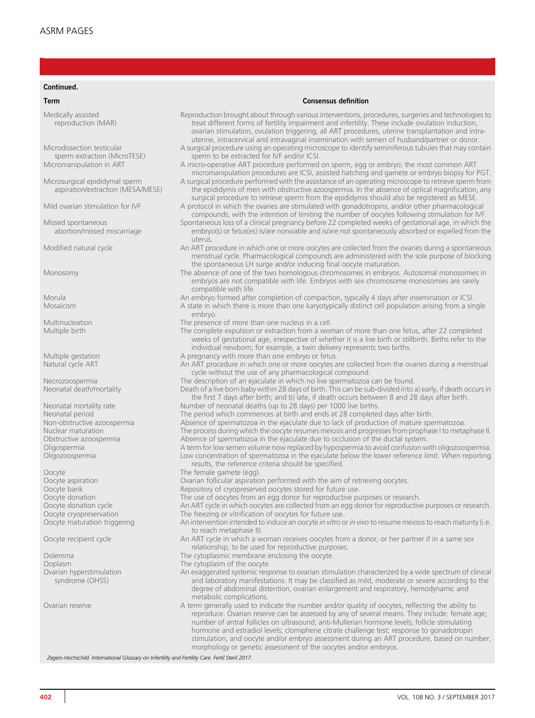Medically assisted reproduction (MAR)

Microdissection testicular sperm extraction (MicroTESE)<br>Micromanipulation in ART

Microsurgical epididymal sperm aspiration/extraction (MESA/MESE)

Missed spontaneous abortion/missed miscarriage

Ovarian hyperstimulation syndrome (OHSS)

#### Term Consensus definition

Reproduction brought about through various interventions, procedures, surgeries and technologies to treat different forms of fertility impairment and infertility. These include ovulation induction, ovarian stimulation, ovulation triggering, all ART procedures, uterine transplantation and intrauterine, intracervical and intravaginal insemination with semen of husband/partner or donor. A surgical procedure using an operating microscope to identify seminiferous tubules that may contain sperm to be extracted for IVF and/or ICSI. A micro-operative ART procedure performed on sperm, egg or embryo; the most common ART micromanipulation procedures are ICSI, assisted hatching and gamete or embryo biopsy for PGT. A surgical procedure performed with the assistance of an operating microscope to retrieve sperm from the epididymis of men with obstructive azoospermia. In the absence of optical magnification, any surgical procedure to retrieve sperm from the epididymis should also be registered as MESE. Mild ovarian stimulation for IVF A protocol in which the ovaries are stimulated with gonadotropins, and/or other pharmacological compounds, with the intention of limiting the number of oocytes following stimulation for IVF. Spontaneous loss of a clinical pregnancy before 22 completed weeks of gestational age, in which the embryo(s) or fetus(es) is/are nonviable and is/are not spontaneously absorbed or expelled from the uterus. Modified natural cycle An ART procedure in which one or more oocytes are collected from the ovaries during a spontaneous menstrual cycle. Pharmacological compounds are administered with the sole purpose of blocking the spontaneous LH surge and/or inducing final oocyte maturation. Monosomy The absence of one of the two homologous chromosomes in embryos. Autosomal monosomies in embryos are not compatible with life. Embryos with sex chromosome monosomies are rarely compatible with life. Morula An embryo formed after completion of compaction, typically 4 days after insemination or ICSI. Mosaicism **A** state in which there is more than one karyotypically distinct cell population arising from a single embryo. Multinucleation The presence of more than one nucleus in a cell.<br>
Multiple birth The complete expulsion or extraction from a work The complete expulsion or extraction from a woman of more than one fetus, after 22 completed weeks of gestational age, irrespective of whether it is a live birth or stillbirth. Births refer to the individual newborn; for example, a twin delivery represents two births. Multiple gestation **A** pregnancy with more than one embryo or fetus.<br>
Natural cycle ART **ART** procedure in which one or more oocytes a An ART procedure in which one or more oocytes are collected from the ovaries during a menstrual cycle without the use of any pharmacological compound. Necrozoospermia The description of an ejaculate in which no live spermatozoa can be found.<br>Neonatal death/mortality Death of a live born baby within 28 days of birth. This can be sub-divided into a Death of a live born baby within 28 days of birth. This can be sub-divided into a) early, if death occurs in the first 7 days after birth; and b) late, if death occurs between 8 and 28 days after birth. Neonatal mortality rate Number of neonatal deaths (up to 28 days) per 1000 live births.<br>Neonatal period viring period which commences at birth and ends at 28 complete Neonatal period<br>
Non-obstructive azoospermia<br>
Absence of spermatozoa in the ejaculate due to lack of production of mature spe Non-obstructive azoospermia Absence of spermatozoa in the ejaculate due to lack of production of mature spermatozoa. Nuclear maturation The process during which the oocyte resumes meiosis and progresses from prophase I to metaphase II.<br>Obstructive azoospermia Absence of spermatozoa in the ejaculate due to occlusion of the ductal system. Obstructive azoospermia Absence of spermatozoa in the ejaculate due to occlusion of the ductal system. Oligospermia A term for low semen volume now replaced by hypospermia to avoid confusion with oligozoospermia. Low concentration of spermatozoa in the ejaculate below the lower reference limit. When reporting results, the reference criteria should be specified. Oocyte aspiration and the material of the female gamete (egg).<br>Oocyte aspiration and the Covarian follicular aspiration Oocyte aspiration **Ovarian follicular aspiration performed with the aim of retrieving oocytes.**<br>Oocyte bank ovariance of Repository of cryopreserved oocytes stored for future use. Repository of cryopreserved oocytes stored for future use. Oocyte donation The use of oocytes from an egg donor for reproductive purposes or research.<br>Oocyte donation cycle The The ART cycle in which oocytes are collected from an egg donor for reproductive An ART cycle in which oocytes are collected from an egg donor for reproductive purposes or research. Oocyte cryopreservation The freezing or vitrification of oocytes for future use.<br>Oocyte maturation triggering An intervention intended to induce an oocyte in vitro o An intervention intended to induce an oocyte in vitro or in vivo to resume meiosis to reach maturity (i.e. to reach metaphase II). Oocyte recipient cycle An ART cycle in which a woman receives oocytes from a donor, or her partner if in a same sex relationship, to be used for reproductive purposes. Oolemma The cytoplasmic membrane enclosing the oocyte.<br>
The cytoplasm of the oocyte. The cytoplasm of the oocyte. An exaggerated systemic response to ovarian stimulation characterized by a wide spectrum of clinical and laboratory manifestations. It may be classified as mild, moderate or severe according to the degree of abdominal distention, ovarian enlargement and respiratory, hemodynamic and metabolic complications. Ovarian reserve **A** term generally used to indicate the number and/or quality of oocytes, reflecting the ability to reproduce. Ovarian reserve can be assessed by any of several means. They include: female age; number of antral follicles on ultrasound; anti-Mullerian hormone levels; follicle stimulating hormone and estradiol levels; clomiphene citrate challenge test; response to gonadotropin stimulation, and oocyte and/or embryo assessment during an ART procedure, based on number,

morphology or genetic assessment of the oocytes and/or embryos.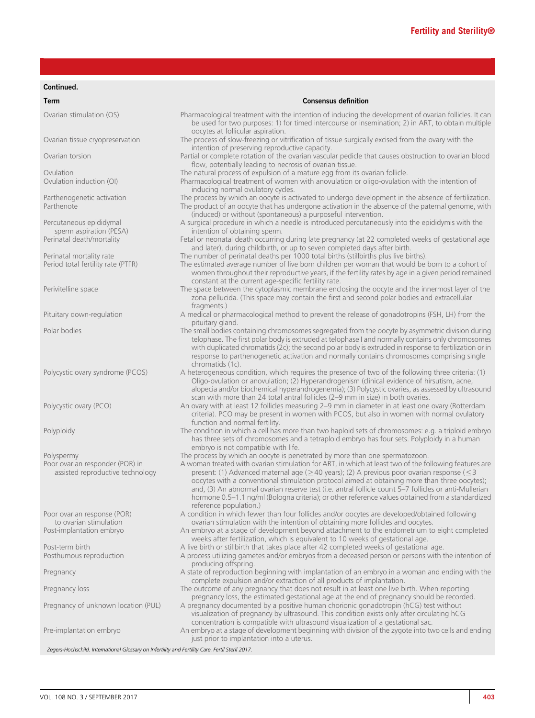Ovarian stimulation (OS) Pharmacological treatment with the intention of inducing the development of ovarian follicles. It can

| Pre-implantation embryo                                                           | concentration is compatible with ultrasound visualization of a gestational sac.<br>An embryo at a stage of development beginning with division of the zygote into two cells and ending                                                                                                                                                                                                                                                 |
|-----------------------------------------------------------------------------------|----------------------------------------------------------------------------------------------------------------------------------------------------------------------------------------------------------------------------------------------------------------------------------------------------------------------------------------------------------------------------------------------------------------------------------------|
| Pregnancy of unknown location (PUL)                                               | pregnancy loss, the estimated gestational age at the end of pregnancy should be recorded.<br>A pregnancy documented by a positive human chorionic gonadotropin (hCG) test without<br>visualization of pregnancy by ultrasound. This condition exists only after circulating hCG                                                                                                                                                        |
| Pregnancy loss                                                                    | complete expulsion and/or extraction of all products of implantation.<br>The outcome of any pregnancy that does not result in at least one live birth. When reporting                                                                                                                                                                                                                                                                  |
| Pregnancy                                                                         | A process utilizing gametes and/or embryos from a deceased person or persons with the intention of<br>producing offspring.<br>A state of reproduction beginning with implantation of an embryo in a woman and ending with the                                                                                                                                                                                                          |
| Post-term birth<br>Posthumous reproduction                                        | weeks after fertilization, which is equivalent to 10 weeks of gestational age.<br>A live birth or stillbirth that takes place after 42 completed weeks of gestational age.                                                                                                                                                                                                                                                             |
| to ovarian stimulation<br>Post-implantation embryo                                | ovarian stimulation with the intention of obtaining more follicles and oocytes.<br>An embryo at a stage of development beyond attachment to the endometrium to eight completed                                                                                                                                                                                                                                                         |
| Poor ovarian response (POR)                                                       | oocytes with a conventional stimulation protocol aimed at obtaining more than three oocytes);<br>and, (3) An abnormal ovarian reserve test (i.e. antral follicle count 5-7 follicles or anti-Mullerian<br>hormone 0.5-1.1 ng/ml (Bologna criteria); or other reference values obtained from a standardized<br>reference population.)<br>A condition in which fewer than four follicles and/or oocytes are developed/obtained following |
| Polyspermy<br>Poor ovarian responder (POR) in<br>assisted reproductive technology | embryo is not compatible with life.<br>The process by which an oocyte is penetrated by more than one spermatozoon.<br>A woman treated with ovarian stimulation for ART, in which at least two of the following features are<br>present: (1) Advanced maternal age ( $\geq$ 40 years); (2) A previous poor ovarian response ( $\leq$ 3                                                                                                  |
| Polyploidy                                                                        | function and normal fertility.<br>The condition in which a cell has more than two haploid sets of chromosomes: e.g. a triploid embryo<br>has three sets of chromosomes and a tetraploid embryo has four sets. Polyploidy in a human                                                                                                                                                                                                    |
| Polycystic ovary (PCO)                                                            | scan with more than 24 total antral follicles (2–9 mm in size) in both ovaries.<br>An ovary with at least 12 follicles measuring 2-9 mm in diameter in at least one ovary (Rotterdam<br>criteria). PCO may be present in women with PCOS, but also in women with normal ovulatory                                                                                                                                                      |
| Polycystic ovary syndrome (PCOS)                                                  | chromatids (1c).<br>A heterogeneous condition, which requires the presence of two of the following three criteria: (1)<br>Oligo-ovulation or anovulation; (2) Hyperandrogenism (clinical evidence of hirsutism, acne,<br>alopecia and/or biochemical hyperandrogenemia); (3) Polycystic ovaries, as assessed by ultrasound                                                                                                             |
| Polar bodies                                                                      | The small bodies containing chromosomes segregated from the oocyte by asymmetric division during<br>telophase. The first polar body is extruded at telophase I and normally contains only chromosomes<br>with duplicated chromatids (2c); the second polar body is extruded in response to fertilization or in<br>response to parthenogenetic activation and normally contains chromosomes comprising single                           |
| Pituitary down-regulation                                                         | fragments.)<br>A medical or pharmacological method to prevent the release of gonadotropins (FSH, LH) from the<br>pituitary gland.                                                                                                                                                                                                                                                                                                      |
| Perivitelline space                                                               | constant at the current age-specific fertility rate.<br>The space between the cytoplasmic membrane enclosing the oocyte and the innermost layer of the<br>zona pellucida. (This space may contain the first and second polar bodies and extracellular                                                                                                                                                                                  |
| Perinatal mortality rate<br>Period total fertility rate (PTFR)                    | and later), during childbirth, or up to seven completed days after birth.<br>The number of perinatal deaths per 1000 total births (stillbirths plus live births).<br>The estimated average number of live born children per woman that would be born to a cohort of<br>women throughout their reproductive years, if the fertility rates by age in a given period remained                                                             |
| Percutaneous epididymal<br>sperm aspiration (PESA)<br>Perinatal death/mortality   | A surgical procedure in which a needle is introduced percutaneously into the epididymis with the<br>intention of obtaining sperm.<br>Fetal or neonatal death occurring during late pregnancy (at 22 completed weeks of gestational age                                                                                                                                                                                                 |
| Parthenogenetic activation<br>Parthenote                                          | inducing normal ovulatory cycles.<br>The process by which an oocyte is activated to undergo development in the absence of fertilization.<br>The product of an oocyte that has undergone activation in the absence of the paternal genome, with<br>(induced) or without (spontaneous) a purposeful intervention.                                                                                                                        |
| Ovulation<br>Ovulation induction (OI)                                             | The natural process of expulsion of a mature egg from its ovarian follicle.<br>Pharmacological treatment of women with anovulation or oligo-ovulation with the intention of                                                                                                                                                                                                                                                            |
| Ovarian torsion                                                                   | intention of preserving reproductive capacity.<br>Partial or complete rotation of the ovarian vascular pedicle that causes obstruction to ovarian blood<br>flow, potentially leading to necrosis of ovarian tissue.                                                                                                                                                                                                                    |
| Ovarian tissue cryopreservation                                                   | be used for two purposes: 1) for timed intercourse or insemination; 2) in ART, to obtain multiple<br>oocytes at follicular aspiration.<br>The process of slow-freezing or vitrification of tissue surgically excised from the ovary with the                                                                                                                                                                                           |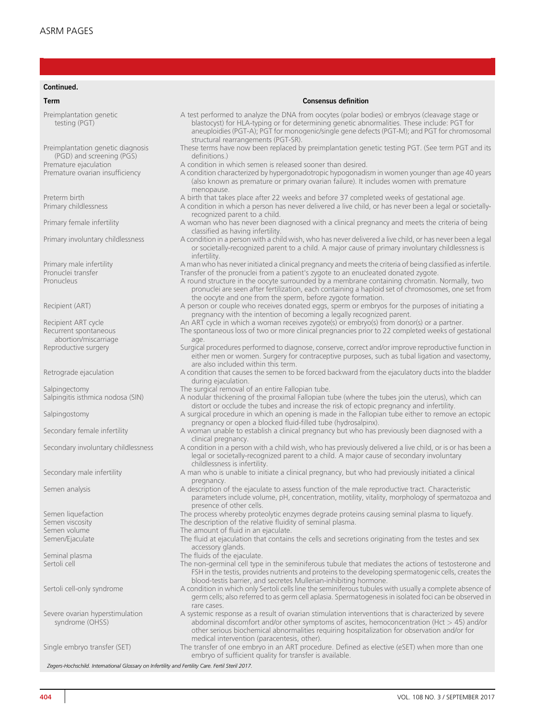#### Term Consensus definition

| Preimplantation genetic<br>testing (PGT)                                                         | A test performed to analyze the DNA from oocytes (polar bodies) or embryos (cleavage stage or<br>blastocyst) for HLA-typing or for determining genetic abnormalities. These include: PGT for<br>aneuploidies (PGT-A); PGT for monogenic/single gene defects (PGT-M); and PGT for chromosomal                                                        |
|--------------------------------------------------------------------------------------------------|-----------------------------------------------------------------------------------------------------------------------------------------------------------------------------------------------------------------------------------------------------------------------------------------------------------------------------------------------------|
| Preimplantation genetic diagnosis<br>(PGD) and screening (PGS)                                   | structural rearrangements (PGT-SR).<br>These terms have now been replaced by preimplantation genetic testing PGT. (See term PGT and its<br>definitions.)                                                                                                                                                                                            |
| Premature ejaculation                                                                            | A condition in which semen is released sooner than desired.                                                                                                                                                                                                                                                                                         |
| Premature ovarian insufficiency                                                                  | A condition characterized by hypergonadotropic hypogonadism in women younger than age 40 years<br>(also known as premature or primary ovarian failure). It includes women with premature<br>menopause.                                                                                                                                              |
| Preterm birth                                                                                    | A birth that takes place after 22 weeks and before 37 completed weeks of gestational age.                                                                                                                                                                                                                                                           |
| Primary childlessness                                                                            | A condition in which a person has never delivered a live child, or has never been a legal or societally-<br>recognized parent to a child.                                                                                                                                                                                                           |
| Primary female infertility                                                                       | A woman who has never been diagnosed with a clinical pregnancy and meets the criteria of being<br>classified as having infertility.                                                                                                                                                                                                                 |
| Primary involuntary childlessness                                                                | A condition in a person with a child wish, who has never delivered a live child, or has never been a legal<br>or societally-recognized parent to a child. A major cause of primary involuntary childlessness is<br>infertility.                                                                                                                     |
| Primary male infertility                                                                         | A man who has never initiated a clinical pregnancy and meets the criteria of being classified as infertile.                                                                                                                                                                                                                                         |
| Pronuclei transfer                                                                               | Transfer of the pronuclei from a patient's zygote to an enucleated donated zygote.                                                                                                                                                                                                                                                                  |
| Pronucleus                                                                                       | A round structure in the oocyte surrounded by a membrane containing chromatin. Normally, two<br>pronuclei are seen after fertilization, each containing a haploid set of chromosomes, one set from<br>the oocyte and one from the sperm, before zygote formation.                                                                                   |
| Recipient (ART)                                                                                  | A person or couple who receives donated eggs, sperm or embryos for the purposes of initiating a                                                                                                                                                                                                                                                     |
|                                                                                                  | pregnancy with the intention of becoming a legally recognized parent.                                                                                                                                                                                                                                                                               |
| Recipient ART cycle                                                                              | An ART cycle in which a woman receives zygote(s) or embryo(s) from donor(s) or a partner.                                                                                                                                                                                                                                                           |
| Recurrent spontaneous                                                                            | The spontaneous loss of two or more clinical pregnancies prior to 22 completed weeks of gestational                                                                                                                                                                                                                                                 |
| abortion/miscarriage                                                                             | age.                                                                                                                                                                                                                                                                                                                                                |
| Reproductive surgery                                                                             | Surgical procedures performed to diagnose, conserve, correct and/or improve reproductive function in<br>either men or women. Surgery for contraceptive purposes, such as tubal ligation and vasectomy,                                                                                                                                              |
| Retrograde ejaculation                                                                           | are also included within this term.<br>A condition that causes the semen to be forced backward from the ejaculatory ducts into the bladder                                                                                                                                                                                                          |
| Salpingectomy                                                                                    | during ejaculation.<br>The surgical removal of an entire Fallopian tube.                                                                                                                                                                                                                                                                            |
| Salpingitis isthmica nodosa (SIN)                                                                | A nodular thickening of the proximal Fallopian tube (where the tubes join the uterus), which can<br>distort or occlude the tubes and increase the risk of ectopic pregnancy and infertility.                                                                                                                                                        |
| Salpingostomy                                                                                    | A surgical procedure in which an opening is made in the Fallopian tube either to remove an ectopic<br>pregnancy or open a blocked fluid-filled tube (hydrosalpinx).                                                                                                                                                                                 |
| Secondary female infertility                                                                     | A woman unable to establish a clinical pregnancy but who has previously been diagnosed with a<br>clinical pregnancy.                                                                                                                                                                                                                                |
| Secondary involuntary childlessness                                                              | A condition in a person with a child wish, who has previously delivered a live child, or is or has been a<br>legal or societally-recognized parent to a child. A major cause of secondary involuntary<br>childlessness is infertility.                                                                                                              |
| Secondary male infertility                                                                       | A man who is unable to initiate a clinical pregnancy, but who had previously initiated a clinical<br>pregnancy.                                                                                                                                                                                                                                     |
| Semen analysis                                                                                   | A description of the ejaculate to assess function of the male reproductive tract. Characteristic<br>parameters include volume, pH, concentration, motility, vitality, morphology of spermatozoa and<br>presence of other cells.                                                                                                                     |
| Semen liquefaction                                                                               | The process whereby proteolytic enzymes degrade proteins causing seminal plasma to liquefy.                                                                                                                                                                                                                                                         |
| Semen viscosity                                                                                  | The description of the relative fluidity of seminal plasma.                                                                                                                                                                                                                                                                                         |
| Semen volume                                                                                     | The amount of fluid in an ejaculate.                                                                                                                                                                                                                                                                                                                |
| Semen/Ejaculate                                                                                  | The fluid at ejaculation that contains the cells and secretions originating from the testes and sex<br>accessory glands.                                                                                                                                                                                                                            |
| Seminal plasma                                                                                   | The fluids of the ejaculate.                                                                                                                                                                                                                                                                                                                        |
| Sertoli cell                                                                                     | The non-germinal cell type in the seminiferous tubule that mediates the actions of testosterone and<br>FSH in the testis, provides nutrients and proteins to the developing spermatogenic cells, creates the<br>blood-testis barrier, and secretes Mullerian-inhibiting hormone.                                                                    |
| Sertoli cell-only syndrome                                                                       | A condition in which only Sertoli cells line the seminiferous tubules with usually a complete absence of<br>germ cells; also referred to as germ cell aplasia. Spermatogenesis in isolated foci can be observed in<br>rare cases.                                                                                                                   |
| Severe ovarian hyperstimulation<br>syndrome (OHSS)                                               | A systemic response as a result of ovarian stimulation interventions that is characterized by severe<br>abdominal discomfort and/or other symptoms of ascites, hemoconcentration (Hct $>$ 45) and/or<br>other serious biochemical abnormalities requiring hospitalization for observation and/or for<br>medical intervention (paracentesis, other). |
| Single embryo transfer (SET)                                                                     | The transfer of one embryo in an ART procedure. Defined as elective (eSET) when more than one<br>embryo of sufficient quality for transfer is available.                                                                                                                                                                                            |
| Zegers-Hochschild. International Glossary on Infertility and Fertility Care. Fertil Steril 2017. |                                                                                                                                                                                                                                                                                                                                                     |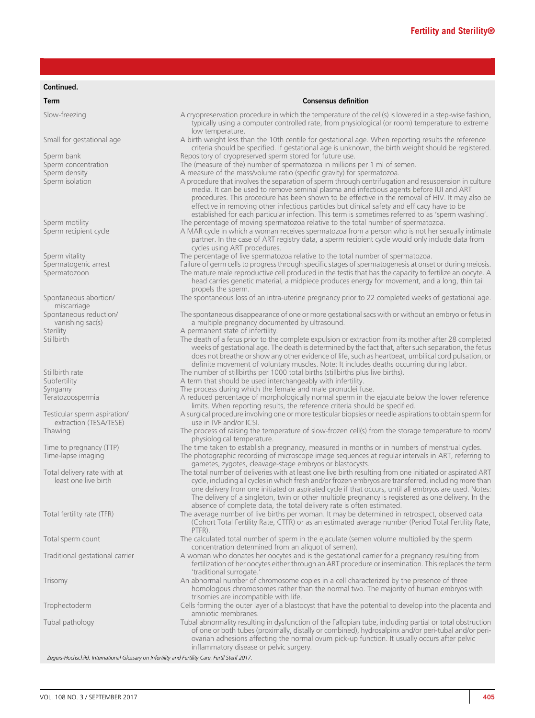#### Term Consensus definition

Slow-freezing **A** cryopreservation procedure in which the temperature of the cell(s) is lowered in a step-wise fashion,

Small for gestational age A birth weight less than the 10th centile for gestational age. When reporting results the reference

Spontaneous abortion/ miscarriage Spontaneous reduction/ vanishing sac(s)<br>Sterility

Testicular sperm aspiration/ extraction (TESA/TESE)<br>Thawing

Total delivery rate with at least one live birth

criteria should be specified. If gestational age is unknown, the birth weight should be registered. Sperm bank **Repository of cryopreserved sperm stored for future use.** Sperm concentration The (measure of the) number of spermatozoa in millions per 1 ml of semen.<br>Sperm density for spermatozoa. A measure of the mass/volume ratio (specific gravity) for spermatozoa. A measure of the mass/volume ratio (specific gravity) for spermatozoa. Sperm isolation A procedure that involves the separation of sperm through centrifugation and resuspension in culture media. It can be used to remove seminal plasma and infectious agents before IUI and ART procedures. This procedure has been shown to be effective in the removal of HIV. It may also be effective in removing other infectious particles but clinical safety and efficacy have to be established for each particular infection. This term is sometimes referred to as 'sperm washing'. Sperm motility The percentage of moving spermatozoa relative to the total number of spermatozoa. Sperm recipient cycle **ANAR** cycle in which a woman receives spermatozoa from a person who is not her sexually intimate partner. In the case of ART registry data, a sperm recipient cycle would only include data from cycles using ART procedures.

typically using a computer controlled rate, from physiological (or room) temperature to extreme

Sperm vitality The percentage of live spermatozoa relative to the total number of spermatozoa.<br>Spermatogenic arrest Failure of germ cells to progress through specific stages of spermatogenesis at onse

Spermatogenic arrest Failure of germ cells to progress through specific stages of spermatogenesis at onset or during meiosis.<br>Spermatozoon Failure meture male reproductive cell produced in the testis that has the capacity The mature male reproductive cell produced in the testis that has the capacity to fertilize an oocyte. A head carries genetic material, a midpiece produces energy for movement, and a long, thin tail propels the sperm.

The spontaneous loss of an intra-uterine pregnancy prior to 22 completed weeks of gestational age.

The spontaneous disappearance of one or more gestational sacs with or without an embryo or fetus in a multiple pregnancy documented by ultrasound.

A permanent state of infertility.

low temperature.

- Stillbirth The death of a fetus prior to the complete expulsion or extraction from its mother after 28 completed weeks of gestational age. The death is determined by the fact that, after such separation, the fetus does not breathe or show any other evidence of life, such as heartbeat, umbilical cord pulsation, or definite movement of voluntary muscles. Note: It includes deaths occurring during labor.
- Stillbirth rate The number of stillbirths per 1000 total births (stillbirths plus live births).<br>Subfertility Subfertility A term that should be used interchangeably with infertility.
	- A term that should be used interchangeably with infertility.
- Syngamy Syngamy The process during which the female and male pronuclei fuse.<br>Teratozoospermia The management of reduced percentage of morphologically normal sperm in the
	- A reduced percentage of morphologically normal sperm in the ejaculate below the lower reference limits. When reporting results, the reference criteria should be specified.
	- A surgical procedure involving one or more testicular biopsies or needle aspirations to obtain sperm for use in IVF and/or ICSI.
	- The process of raising the temperature of slow-frozen cell(s) from the storage temperature to room/ physiological temperature.
- Time to pregnancy (TTP) The time taken to establish a pregnancy, measured in months or in numbers of menstrual cycles.
- Time-lapse imaging The photographic recording of microscope image sequences at regular intervals in ART, referring to gametes, zygotes, cleavage-stage embryos or blastocysts.
	- The total number of deliveries with at least one live birth resulting from one initiated or aspirated ART cycle, including all cycles in which fresh and/or frozen embryos are transferred, including more than one delivery from one initiated or aspirated cycle if that occurs, until all embryos are used. Notes: The delivery of a singleton, twin or other multiple pregnancy is registered as one delivery. In the absence of complete data, the total delivery rate is often estimated.

Total fertility rate (TFR) The average number of live births per woman. It may be determined in retrospect, observed data (Cohort Total Fertility Rate, CTFR) or as an estimated average number (Period Total Fertility Rate, PTFR).

Total sperm count The calculated total number of sperm in the ejaculate (semen volume multiplied by the sperm concentration determined from an aliquot of semen).

Traditional gestational carrier A woman who donates her oocytes and is the gestational carrier for a pregnancy resulting from fertilization of her oocytes either through an ART procedure or insemination. This replaces the term 'traditional surrogate.

Trisomy An abnormal number of chromosome copies in a cell characterized by the presence of three homologous chromosomes rather than the normal two. The majority of human embryos with trisomies are incompatible with life.

Trophectoderm Cells forming the outer layer of a blastocyst that have the potential to develop into the placenta and amniotic membranes.

Tubal pathology Tubal abnormality resulting in dysfunction of the Fallopian tube, including partial or total obstruction of one or both tubes (proximally, distally or combined), hydrosalpinx and/or peri-tubal and/or periovarian adhesions affecting the normal ovum pick-up function. It usually occurs after pelvic inflammatory disease or pelvic surgery.